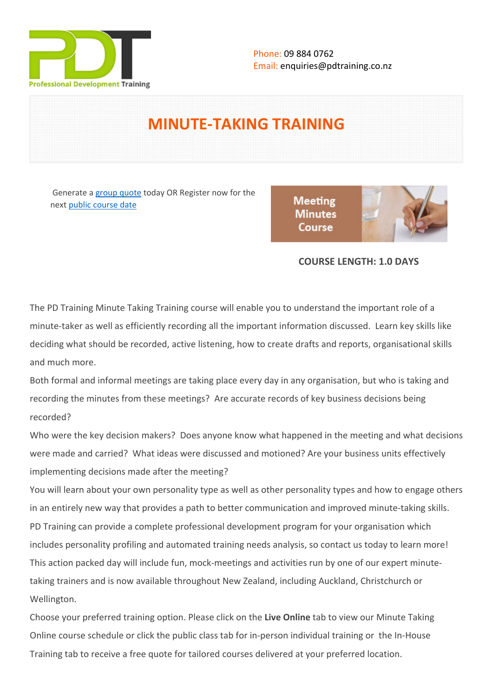

# **MINUTE-TAKING TRAINING**

Generate a [group quote](https://pdtraining.co.nz/inhouse-training-quote?cse=PDMT01) today OR Register now for the next [public course date](https://pdtraining.co.nz/booking?schedulecode=ZM0d6fsxfawBshOy12Tbn3HBOl2nvyE3UX0JYsnsJCIEohGMv6ozLV66ezzVmfdSGCRFqfIJOBCUvdmGPp1xies804Ez3CfDzZ7VzavpxPVksmKbm2f6nOKBkTPwLiPlv8uFfBgP4M9DtiQOtDnayj&countryCode=NZ¤cyCode=NZ)

**Meeting Minutes** Course



## **COURSE LENGTH: 1.0 DAYS**

The PD Training Minute Taking Training course will enable you to understand the important role of a minute-taker as well as efficiently recording all the important information discussed. Learn key skills like deciding what should be recorded, active listening, how to create drafts and reports, organisational skills and much more.

Both formal and informal meetings are taking place every day in any organisation, but who is taking and recording the minutes from these meetings? Are accurate records of key business decisions being recorded?

Who were the key decision makers? Does anyone know what happened in the meeting and what decisions were made and carried? What ideas were discussed and motioned? Are your business units effectively implementing decisions made after the meeting?

You will learn about your own personality type as well as other personality types and how to engage others in an entirely new way that provides a path to better communication and improved minute-taking skills. PD Training can provide a complete professional development program for your organisation which includes personality profiling and automated training needs analysis, so contact us today to learn more! This action packed day will include fun, mock-meetings and activities run by one of our expert minutetaking trainers and is now available throughout New Zealand, including Auckland, Christchurch or Wellington.

Choose your preferred training option. Please click on the **Live Online** tab to view our [Minute Taking](https://pdtraining.co.nz/remote-live-training-classes/minute-taking-training-course-Online-Instructor-led-3hours)  [Online course schedule](https://pdtraining.co.nz/remote-live-training-classes/minute-taking-training-course-Online-Instructor-led-3hours) or click the public class tab for in-person individual training or the In-House Training tab to receive a free quote for tailored courses delivered at your preferred location.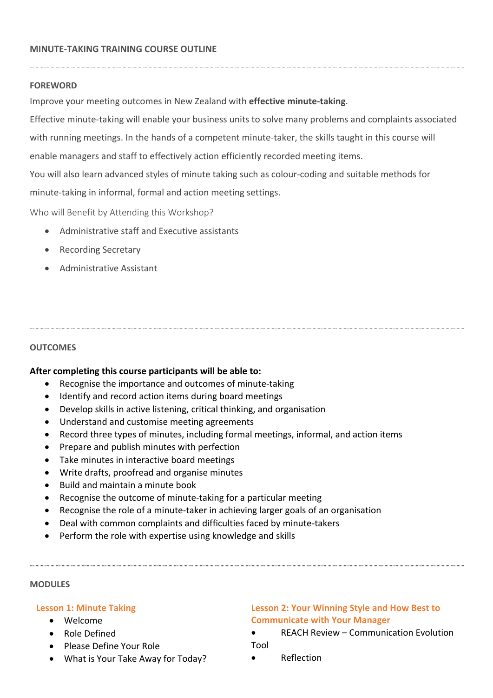#### **MINUTE-TAKING TRAINING COURSE OUTLINE**

#### **FOREWORD**

Improve your meeting outcomes in New Zealand with **effective minute-taking**.

Effective minute-taking will enable your business units to solve many problems and complaints associated with running meetings. In the hands of a competent minute-taker, the skills taught in this course will enable managers and staff to effectively action efficiently recorded meeting items. You will also learn advanced styles of minute taking such as colour-coding and suitable methods for minute-taking in informal, formal and action meeting settings.

Who will Benefit by Attending this Workshop?

- Administrative staff and Executive assistants
- Recording Secretary
- Administrative Assistant

#### **OUTCOMES**

## **After completing this course participants will be able to:**

- Recognise the importance and outcomes of minute-taking
- Identify and record action items during board meetings
- Develop skills in active listening, critical thinking, and organisation
- Understand and customise meeting agreements
- Record three types of minutes, including formal meetings, informal, and action items
- Prepare and publish minutes with perfection
- Take minutes in interactive board meetings
- Write drafts, proofread and organise minutes
- Build and maintain a minute book
- Recognise the outcome of minute-taking for a particular meeting
- Recognise the role of a minute-taker in achieving larger goals of an organisation
- Deal with common complaints and difficulties faced by minute-takers
- Perform the role with expertise using knowledge and skills

#### **MODULES**

#### **Lesson 1: Minute Taking**

- Welcome
- Role Defined
- Please Define Your Role
- What is Your Take Away for Today?

## **Lesson 2: Your Winning Style and How Best to Communicate with Your Manager**

- REACH Review Communication Evolution Tool
- Reflection